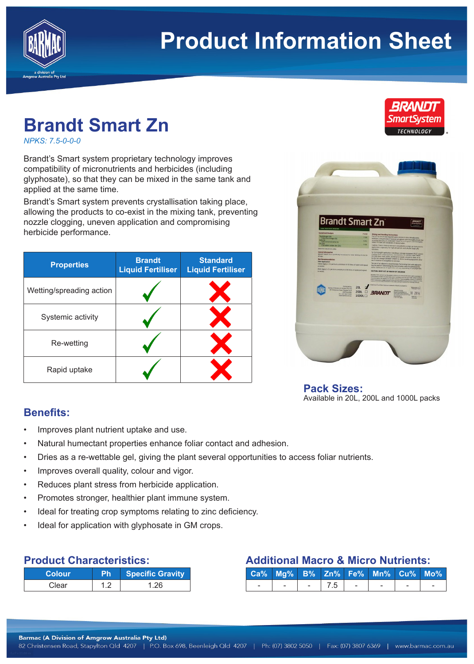

# **Product Information Sheet**

## **Brandt Smart Zn**

*NPKS: 7.5-0-0-0*

Brandt's Smart system proprietary technology improves compatibility of micronutrients and herbicides (including glyphosate), so that they can be mixed in the same tank and applied at the same time.

Brandt's Smart system prevents crystallisation taking place, allowing the products to co-exist in the mixing tank, preventing nozzle clogging, uneven application and compromising herbicide performance.

| <b>Properties</b>        | <b>Brandt</b><br><b>Liquid Fertiliser</b> | <b>Standard</b><br><b>Liquid Fertiliser</b> |
|--------------------------|-------------------------------------------|---------------------------------------------|
| Wetting/spreading action |                                           |                                             |
| Systemic activity        |                                           |                                             |
| Re-wetting               |                                           |                                             |
| Rapid uptake             |                                           |                                             |



**Pack Sizes:** Available in 20L, 200L and 1000L packs

#### **Benefits:**

- Improves plant nutrient uptake and use.
- Natural humectant properties enhance foliar contact and adhesion.
- Dries as a re-wettable gel, giving the plant several opportunities to access foliar nutrients.
- Improves overall quality, colour and vigor.
- Reduces plant stress from herbicide application.
- Promotes stronger, healthier plant immune system.
- Ideal for treating crop symptoms relating to zinc deficiency.
- Ideal for application with glyphosate in GM crops.

| <b>Product Characteristics:</b> |  |
|---------------------------------|--|
|---------------------------------|--|

| <b>Colour</b> | 'Ph. | Specific Gravity |
|---------------|------|------------------|
| Clear         |      | 1 26             |

### **Additional Macro & Micro Nutrients:**

|  |         | Ca% Mg% B% Zn% Fe% Mn% Cu% Mo% |  |
|--|---------|--------------------------------|--|
|  | $-17.5$ |                                |  |